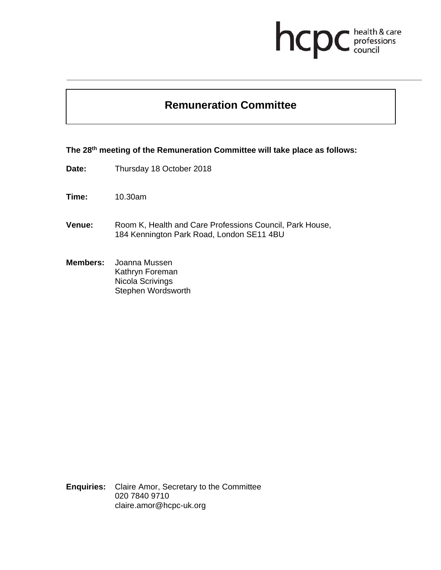# health & care<br>professions<br>council hcp

## **Remuneration Committee**

**The 28th meeting of the Remuneration Committee will take place as follows:** 

**Date:** Thursday 18 October 2018

**Time:** 10.30am

- **Venue:** Room K, Health and Care Professions Council, Park House, 184 Kennington Park Road, London SE11 4BU
- **Members:** Joanna Mussen Kathryn Foreman Nicola Scrivings Stephen Wordsworth

**Enquiries:** Claire Amor, Secretary to the Committee 020 7840 9710 claire.amor@hcpc-uk.org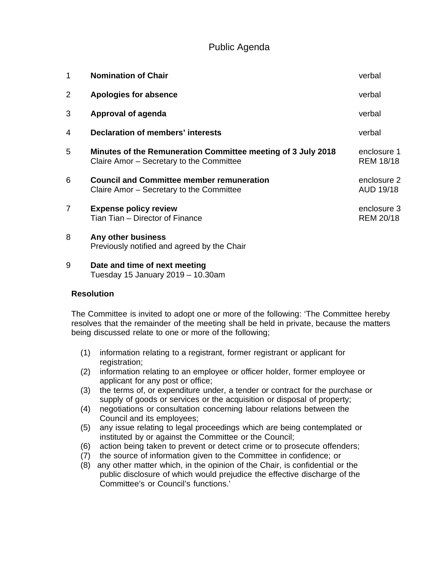### Public Agenda

| 1              | <b>Nomination of Chair</b>                                                                               | verbal                          |
|----------------|----------------------------------------------------------------------------------------------------------|---------------------------------|
| $\overline{2}$ | <b>Apologies for absence</b>                                                                             | verbal                          |
| 3              | <b>Approval of agenda</b>                                                                                | verbal                          |
| 4              | Declaration of members' interests                                                                        | verbal                          |
| 5              | Minutes of the Remuneration Committee meeting of 3 July 2018<br>Claire Amor - Secretary to the Committee | enclosure 1<br><b>REM 18/18</b> |
| 6              | <b>Council and Committee member remuneration</b><br>Claire Amor – Secretary to the Committee             | enclosure 2<br>AUD 19/18        |
| $\overline{7}$ | <b>Expense policy review</b><br>Tian Tian - Director of Finance                                          | enclosure 3<br><b>REM 20/18</b> |
| 8              | Any other business<br>Previously notified and agreed by the Chair                                        |                                 |

9 **Date and time of next meeting** Tuesday 15 January 2019 – 10.30am

#### **Resolution**

The Committee is invited to adopt one or more of the following: 'The Committee hereby resolves that the remainder of the meeting shall be held in private, because the matters being discussed relate to one or more of the following;

- (1) information relating to a registrant, former registrant or applicant for registration;
- (2) information relating to an employee or officer holder, former employee or applicant for any post or office;
- (3) the terms of, or expenditure under, a tender or contract for the purchase or supply of goods or services or the acquisition or disposal of property;
- (4) negotiations or consultation concerning labour relations between the Council and its employees;
- (5) any issue relating to legal proceedings which are being contemplated or instituted by or against the Committee or the Council;
- (6) action being taken to prevent or detect crime or to prosecute offenders;
- (7) the source of information given to the Committee in confidence; or
- (8) any other matter which, in the opinion of the Chair, is confidential or the public disclosure of which would prejudice the effective discharge of the Committee's or Council's functions.'